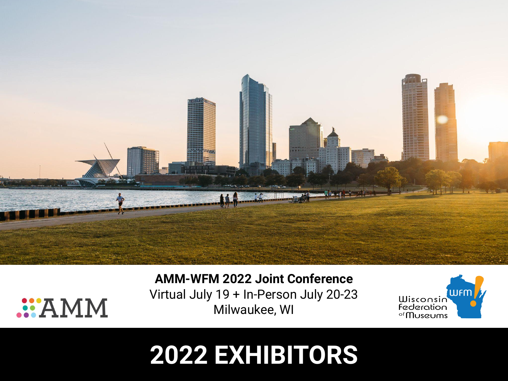

## **AMM-WFM 2022 Joint Conference**

Virtual July 19 + In-Person July 20-23 Milwaukee, WI

**MMA::.** 



# **2022 EXHIBITORS**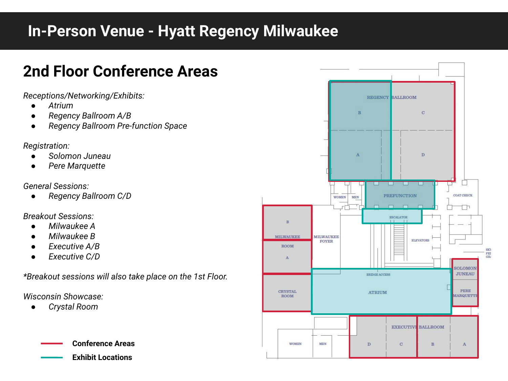# **In-Person Venue - Hyatt Regency Milwaukee**

# **2nd Floor Conference Areas**

*Receptions/Networking/Exhibits:*

- *● Atrium*
- *● Regency Ballroom A/B*
- *● Regency Ballroom Pre-function Space*

*Registration:*

- *● Solomon Juneau*
- *● Pere Marquette*

#### *General Sessions:*

*● Regency Ballroom C/D*

### *Breakout Sessions:*

- *● Milwaukee A*
- *● Milwaukee B*
- *● Executive A/B*
- *● Executive C/D*

*\*Breakout sessions will also take place on the 1st Floor.*

*Wisconsin Showcase:*

*● Crystal Room*

**Conference Areas Exhibit Locations**

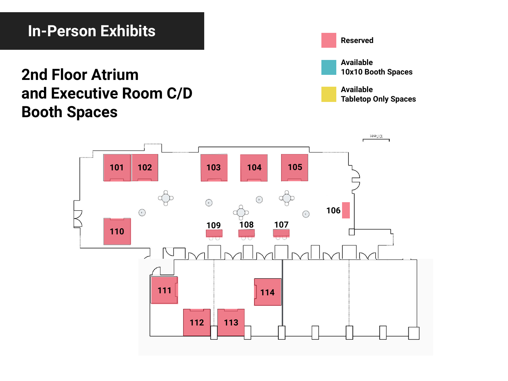## **In-Person Exhibits**

# **2nd Floor Atrium and Executive Room C/D Booth Spaces**

**Reserved**



**Available Tabletop Only Spaces**

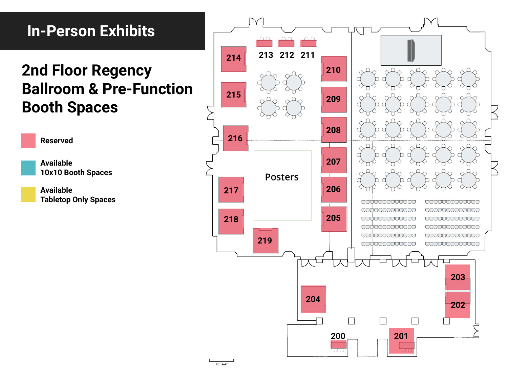# **In-Person Exhibits**

# **2nd Floor Regency Ballroom & Pre-Function Booth Spaces**

**Reserved Available 10x10 Booth Spaces**

**Available Tabletop Only Spaces**

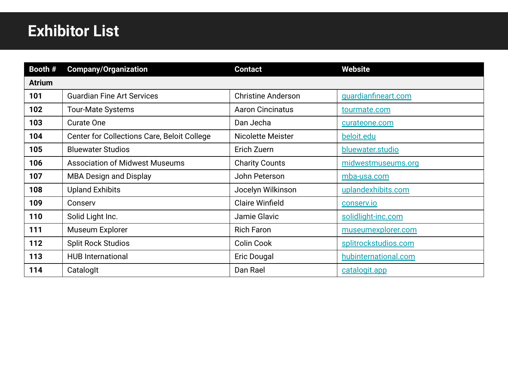# **Exhibitor List**

| Booth #       | <b>Company/Organization</b>                 | <b>Contact</b>            | <b>Website</b>       |
|---------------|---------------------------------------------|---------------------------|----------------------|
| <b>Atrium</b> |                                             |                           |                      |
| 101           | <b>Guardian Fine Art Services</b>           | <b>Christine Anderson</b> | guardianfineart.com  |
| 102           | <b>Tour-Mate Systems</b>                    | <b>Aaron Cincinatus</b>   | tourmate.com         |
| 103           | <b>Curate One</b>                           | Dan Jecha                 | curateone.com        |
| 104           | Center for Collections Care, Beloit College | Nicolette Meister         | beloit.edu           |
| 105           | <b>Bluewater Studios</b>                    | Erich Zuern               | bluewater.studio     |
| 106           | <b>Association of Midwest Museums</b>       | <b>Charity Counts</b>     | midwestmuseums.org   |
| 107           | <b>MBA Design and Display</b>               | John Peterson             | mba-usa.com          |
| 108           | <b>Upland Exhibits</b>                      | Jocelyn Wilkinson         | uplandexhibits.com   |
| 109           | Conserv                                     | <b>Claire Winfield</b>    | conserv.io           |
| 110           | Solid Light Inc.                            | Jamie Glavic              | solidlight-inc.com   |
| 111           | Museum Explorer                             | <b>Rich Faron</b>         | museumexplorer.com   |
| 112           | <b>Split Rock Studios</b>                   | <b>Colin Cook</b>         | splitrockstudios.com |
| 113           | <b>HUB International</b>                    | Eric Dougal               | hubinternational.com |
| 114           | CatalogIt                                   | Dan Rael                  | catalogit.app        |